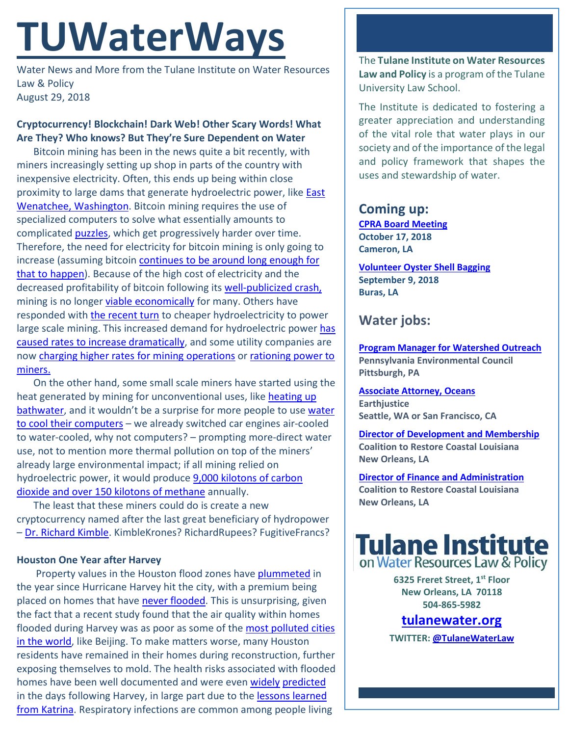# **TUWaterWays**

Water News and More from the Tulane Institute on Water Resources Law & Policy August 29, 2018

#### **Cryptocurrency! Blockchain! Dark Web! Other Scary Words! What Are They? Who knows? But They're Sure Dependent on Water**

Bitcoin mining has been in the news quite a bit recently, with miners increasingly setting up shop in parts of the country with inexpensive electricity. Often, this ends up being within close proximity to large dams that generate hydroelectric power, like **East** [Wenatchee, Washington.](https://www.theatlantic.com/technology/archive/2018/03/bitcoin-mining-arbitrages-cheap-electricity-into-money/555416/) Bitcoin mining requires the use of specialized computers to solve what essentially amounts to complicated **puzzles**, which get progressively harder over time. Therefore, the need for electricity for bitcoin mining is only going to increase (assuming bitcoin continues to be around long enough for [that to happen\)](https://www.cnbc.com/2018/07/02/over-800-cryptocurrencies-are-now-dead-as-bitcoin-feels-pressure.html). Because of the high cost of electricity and the decreased profitability of bitcoin following its [well-publicized crash,](http://time.com/money/5320970/bitcoin-price-low-2018-peak/) mining is no longer [viable economically](http://fortune.com/2018/04/20/bitcoin-mining-profitability-tsmc-morgan-stanley/) for many. Others have responded with [the recent turn](http://fortune.com/2018/06/08/quebec-cryptocurrency-mining-hydro-power/) to cheaper hydroelectricity to power large scale mining. This increased demand for hydroelectric power [has](https://www.usnews.com/news/best-states/new-york/articles/2018-04-24/power-sucking-bitcoin-mines-spark-backlash)  [caused rates to increase dramatically,](https://www.usnews.com/news/best-states/new-york/articles/2018-04-24/power-sucking-bitcoin-mines-spark-backlash) and some utility companies are now charging [higher rates for mining operations](https://www.wired.co.uk/article/bitcoin-mining-energy-consumption-new-york) or rationing power to [miners.](https://www.forbes.com/sites/francescoppola/2018/05/30/bitcoins-need-for-electricity-is-its-achilles-heel/#13e6c0592fb1)

On the other hand, some small scale miners have started using the heat generated by mining for unconventional uses, like heating up [bathwater,](https://motherboard.vice.com/en_us/article/9k8ykp/heating-water-with-bitcoin-mining-asic-reddit) and it wouldn't be a surprise for more people to use water [to cool their computers](https://www.youtube.com/watch?v=Dk3V64ZSsEI) - we already switched car engines air-cooled to water-cooled, why not computers? – prompting more-direct water use, not to mention more thermal pollution on top of the miners' already large environmental impact; if all mining relied on hydroelectric power, it would produce [9,000 kilotons of carbon](https://www.technologyreview.com/s/610786/bitcoin-is-eating-quebec/)  [dioxide and over 150 kilotons of methane](https://www.technologyreview.com/s/610786/bitcoin-is-eating-quebec/) annually.

The least that these miners could do is create a new cryptocurrency named after the last great beneficiary of hydropower – [Dr. Richard Kimble.](https://www.youtube.com/watch?v=4sjEAX4iymo) KimbleKrones? RichardRupees? FugitiveFrancs?

#### **Houston One Year after Harvey**

Property values in the Houston flood zones have [plummeted](https://www.eenews.net/energywire/2018/08/24/stories/1060095153) in the year since Hurricane Harvey hit the city, with a premium being placed on homes that have [never flooded.](https://www.texasmonthly.com/news/harvey-anniversary-houston-preparing-next-big-storm/) This is unsurprising, given the fact that a recent study found that the air quality within homes flooded during Harvey was as poor as some of the most polluted cities [in the world,](https://www.cbsnews.com/news/hurricane-harvey-houston-toxic-homes-the-invisible-health-threat/) like Beijing. To make matters worse, many Houston residents have remained in their homes during reconstruction, further exposing themselves to mold. The health risks associated with flooded homes have been well documented and were even [widely](https://www.washingtonpost.com/news/to-your-health/wp/2017/08/29/the-health-consequences-to-expect-from-hurricane-harveys-floods/?utm_term=.9dc85fd08c57) [predicted](https://www.theatlantic.com/health/archive/2017/08/mold-city/538224/) in the days following Harvey, in large part due to the [lessons learned](https://www.hsph.harvard.edu/news/features/mold-debris-toxins-stress-dealing-with-the-impacts-of-hurricane-katrina/)  [from Katrina.](https://www.hsph.harvard.edu/news/features/mold-debris-toxins-stress-dealing-with-the-impacts-of-hurricane-katrina/) Respiratory infections are common among people living

The **Tulane Institute on Water Resources Law and Policy** is a program of the Tulane University Law School.

The Institute is dedicated to fostering a greater appreciation and understanding of the vital role that water plays in our society and of the importance of the legal and policy framework that shapes the uses and stewardship of water.

## **Coming up:**

**[CPRA Board Meeting](http://coastal.la.gov/calendar/) October 17, 2018 Cameron, LA**

**[Volunteer Oyster Shell Bagging](https://www.eventbrite.com/e/oyster-shell-bagging-coastal-louisiana-reef-restoration-09082018-tickets-47675675228) September 9, 2018 Buras, LA**

## **Water jobs:**

**[Program Manager for Watershed Outreach](https://www.idealist.org/en/nonprofit-job/9cfa38f0fb78445aaebd813f5922aa38-program-manager-for-watershed-outreach-pennsylvania-environmental-council-pittsburgh) Pennsylvania Environmental Council Pittsburgh, PA**

**[Associate Attorney, Oceans](http://jobs.jobvite.com/careers/earthjustice/job/om1h8fww?__jvst=Job%20Board&__jvsd=internalemailhttps://www.joshswaterjobs.com/jobs/9440) Earthjustice Seattle, WA or San Francisco, CA**

**[Director of Development and Membership](https://crcl.org/about-us/employment-opportunities/20-about-us/employment-opportunities/439-director-of-development-and-membership.html) Coalition to Restore Coastal Louisiana New Orleans, LA**

**[Director of Finance and Administration](https://crcl.org/about-us/employment-opportunities/14-about-us/440-director-of-finance-and-administration.html) Coalition to Restore Coastal Louisiana New Orleans, LA**



**6325 Freret Street, 1st Floor New Orleans, LA 70118 504-865-5982** 

# **tulanewater.org**

**TWITTER[: @TulaneWaterLaw](http://www.twitter.com/TulaneWaterLaw)**